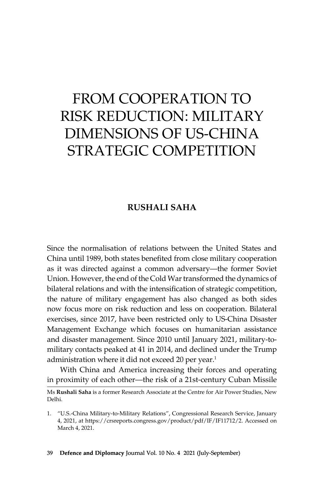# From Cooperation to Risk Reduction: Military Dimensions of US-China STRATEGIC COMPETITION

# **Rushali Saha**

Since the normalisation of relations between the United States and China until 1989, both states benefited from close military cooperation as it was directed against a common adversary—the former Soviet Union. However, the end of the Cold War transformed the dynamics of bilateral relations and with the intensification of strategic competition, the nature of military engagement has also changed as both sides now focus more on risk reduction and less on cooperation. Bilateral exercises, since 2017, have been restricted only to US-China Disaster Management Exchange which focuses on humanitarian assistance and disaster management. Since 2010 until January 2021, military-tomilitary contacts peaked at 41 in 2014, and declined under the Trump administration where it did not exceed 20 per year.<sup>1</sup>

With China and America increasing their forces and operating in proximity of each other—the risk of a 21st-century Cuban Missile

Ms **Rushali Saha** is a former Research Associate at the Centre for Air Power Studies, New Delhi.

<sup>1.</sup> "U.S.-China Military-to-Military Relations", Congressional Research Service, January 4, 2021, at https://crsreports.congress.gov/product/pdf/IF/IF11712/2. Accessed on March 4, 2021.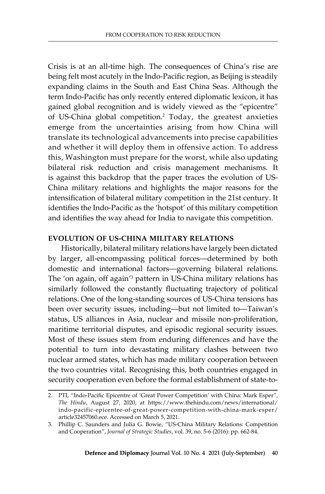Crisis is at an all-time high. The consequences of China's rise are being felt most acutely in the Indo-Pacific region, as Beijing is steadily expanding claims in the South and East China Seas. Although the term Indo-Pacific has only recently entered diplomatic lexicon, it has gained global recognition and is widely viewed as the "epicentre" of US-China global competition.2 Today, the greatest anxieties emerge from the uncertainties arising from how China will translate its technological advancements into precise capabilities and whether it will deploy them in offensive action. To address this, Washington must prepare for the worst, while also updating bilateral risk reduction and crisis management mechanisms. It is against this backdrop that the paper traces the evolution of US-China military relations and highlights the major reasons for the intensification of bilateral military competition in the 21st century. It identifies the Indo-Pacific as the 'hotspot' of this military competition and identifies the way ahead for India to navigate this competition.

# **Evolution of US-China Military Relations**

Historically, bilateral military relations have largely been dictated by larger, all-encompassing political forces—determined by both domestic and international factors—governing bilateral relations. The 'on again, off again'<sup>3</sup> pattern in US-China military relations has similarly followed the constantly fluctuating trajectory of political relations. One of the long-standing sources of US-China tensions has been over security issues, including—but not limited to—Taiwan's status, US alliances in Asia, nuclear and missile non-proliferation, maritime territorial disputes, and episodic regional security issues. Most of these issues stem from enduring differences and have the potential to turn into devastating military clashes between two nuclear armed states, which has made military cooperation between the two countries vital. Recognising this, both countries engaged in security cooperation even before the formal establishment of state-to-

<sup>2.</sup> PTI, "Indo-Pacific Epicentre of 'Great Power Competition' with China: Mark Esper", *The Hindu*, August 27, 2020, at https://www.thehindu.com/news/international/ indo-pacific-epicentre-of-great-power-competition-with-china-mark-esper/ article32457060.ece. Accessed on March 5, 2021.

<sup>3.</sup> Phillip C. Saunders and Julia G. Bowie, "US-China Military Relations: Competition and Cooperation", *Journal of Strategic Studies*, vol. 39, no. 5-6 (2016): pp. 662-84.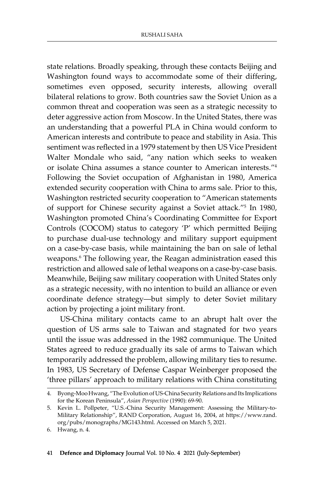state relations. Broadly speaking, through these contacts Beijing and Washington found ways to accommodate some of their differing, sometimes even opposed, security interests, allowing overall bilateral relations to grow. Both countries saw the Soviet Union as a common threat and cooperation was seen as a strategic necessity to deter aggressive action from Moscow. In the United States, there was an understanding that a powerful PLA in China would conform to American interests and contribute to peace and stability in Asia. This sentiment was reflected in a 1979 statement by then US Vice President Walter Mondale who said, "any nation which seeks to weaken or isolate China assumes a stance counter to American interests."4 Following the Soviet occupation of Afghanistan in 1980, America extended security cooperation with China to arms sale. Prior to this, Washington restricted security cooperation to "American statements of support for Chinese security against a Soviet attack."5 In 1980, Washington promoted China's Coordinating Committee for Export Controls (COCOM) status to category 'P' which permitted Beijing to purchase dual-use technology and military support equipment on a case-by-case basis, while maintaining the ban on sale of lethal weapons.<sup>6</sup> The following year, the Reagan administration eased this restriction and allowed sale of lethal weapons on a case-by-case basis. Meanwhile, Beijing saw military cooperation with United States only as a strategic necessity, with no intention to build an alliance or even coordinate defence strategy—but simply to deter Soviet military action by projecting a joint military front.

US-China military contacts came to an abrupt halt over the question of US arms sale to Taiwan and stagnated for two years until the issue was addressed in the 1982 communique. The United States agreed to reduce gradually its sale of arms to Taiwan which temporarily addressed the problem, allowing military ties to resume. In 1983, US Secretary of Defense Caspar Weinberger proposed the 'three pillars' approach to military relations with China constituting

<sup>4.</sup> Byong-Moo Hwang, "The Evolution of US-China Security Relations and Its Implications for the Korean Peninsula", *Asian Perspective* (1990): 69-90.

<sup>5.</sup> Kevin L. Pollpeter, "U.S.-China Security Management: Assessing the Military-to-Military Relationship", RAND Corporation, August 16, 2004, at https://www.rand. org/pubs/monographs/MG143.html. Accessed on March 5, 2021.

<sup>6.</sup> Hwang, n. 4.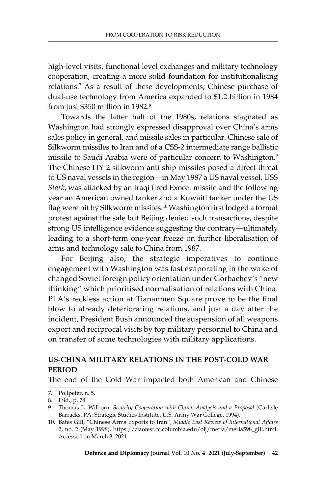high-level visits, functional level exchanges and military technology cooperation, creating a more solid foundation for institutionalising relations.7 As a result of these developments, Chinese purchase of dual-use technology from America expanded to \$1.2 billion in 1984 from just \$350 million in 1982.<sup>8</sup>

Towards the latter half of the 1980s, relations stagnated as Washington had strongly expressed disapproval over China's arms sales policy in general, and missile sales in particular. Chinese sale of Silkworm missiles to Iran and of a CSS-2 intermediate range ballistic missile to Saudi Arabia were of particular concern to Washington.9 The Chinese HY-2 silkworm anti-ship missiles posed a direct threat to US naval vessels in the region—in May 1987 a US naval vessel, USS *Stark*, was attacked by an Iraqi fired Exocet missile and the following year an American owned tanker and a Kuwaiti tanker under the US flag were hit by Silkworm missiles.<sup>10</sup> Washington first lodged a formal protest against the sale but Beijing denied such transactions, despite strong US intelligence evidence suggesting the contrary—ultimately leading to a short-term one-year freeze on further liberalisation of arms and technology sale to China from 1987.

For Beijing also, the strategic imperatives to continue engagement with Washington was fast evaporating in the wake of changed Soviet foreign policy orientation under Gorbachev's "new thinking" which prioritised normalisation of relations with China. PLA's reckless action at Tiananmen Square prove to be the final blow to already deteriorating relations, and just a day after the incident, President Bush announced the suspension of all weapons export and reciprocal visits by top military personnel to China and on transfer of some technologies with military applications.

## **US-China Military Relations in the Post-Cold War Period**

The end of the Cold War impacted both American and Chinese

<sup>7.</sup> Pollpeter, n. 5.

<sup>8.</sup> Ibid., p. 74.

<sup>9.</sup> Thomas L. Wilborn, *Security Cooperation with China: Analysis and a Proposal* (Carlisle Barracks, PA: Strategic Studies Institute, U.S. Army War College, 1994).

<sup>10.</sup> Bates Gill, "Chinese Arms Exports to Iran", *Middle East Review of International Affairs* 2, no. 2 (May 1998), https://ciaotest.cc.columbia.edu/olj/meria/meria598\_gill.html. Accessed on March 3, 2021.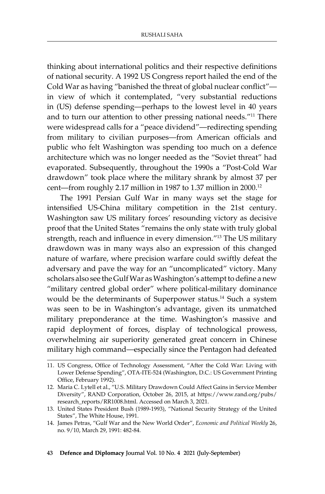thinking about international politics and their respective definitions of national security. A 1992 US Congress report hailed the end of the Cold War as having "banished the threat of global nuclear conflict" in view of which it contemplated, "very substantial reductions in (US) defense spending—perhaps to the lowest level in 40 years and to turn our attention to other pressing national needs."<sup>11</sup> There were widespread calls for a "peace dividend"—redirecting spending from military to civilian purposes—from American officials and public who felt Washington was spending too much on a defence architecture which was no longer needed as the "Soviet threat" had evaporated. Subsequently, throughout the 1990s a "Post-Cold War drawdown" took place where the military shrank by almost 37 per cent—from roughly 2.17 million in 1987 to 1.37 million in 2000.12

The 1991 Persian Gulf War in many ways set the stage for intensified US-China military competition in the 21st century. Washington saw US military forces' resounding victory as decisive proof that the United States "remains the only state with truly global strength, reach and influence in every dimension."<sup>13</sup> The US military drawdown was in many ways also an expression of this changed nature of warfare, where precision warfare could swiftly defeat the adversary and pave the way for an "uncomplicated" victory. Many scholars also see the Gulf War as Washington's attempt to define a new "military centred global order" where political-military dominance would be the determinants of Superpower status.14 Such a system was seen to be in Washington's advantage, given its unmatched military preponderance at the time. Washington's massive and rapid deployment of forces, display of technological prowess, overwhelming air superiority generated great concern in Chinese military high command—especially since the Pentagon had defeated

<sup>11.</sup> US Congress, Office of Technology Assessment, "After the Cold War: Living with Lower Defense Spending", OTA-ITE-524 (Washington, D.C.: US Government Printing Office, February 1992).

<sup>12.</sup> Maria C. Lytell et al., "U.S. Military Drawdown Could Affect Gains in Service Member Diversity", RAND Corporation, October 26, 2015, at https://www.rand.org/pubs/ research\_reports/RR1008.html. Accessed on March 3, 2021.

<sup>13.</sup> United States President Bush (1989-1993), "National Security Strategy of the United States", The White House, 1991.

<sup>14.</sup> James Petras, "Gulf War and the New World Order", *Economic and Political Weekly* 26, no. 9/10, March 29, 1991: 482-84.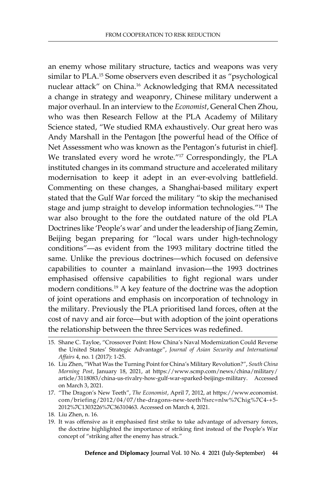an enemy whose military structure, tactics and weapons was very similar to PLA. 15 Some observers even described it as "psychological nuclear attack" on China.16 Acknowledging that RMA necessitated a change in strategy and weaponry, Chinese military underwent a major overhaul. In an interview to the *Economist*, General Chen Zhou, who was then Research Fellow at the PLA Academy of Military Science stated, "We studied RMA exhaustively. Our great hero was Andy Marshall in the Pentagon [the powerful head of the Office of Net Assessment who was known as the Pentagon's futurist in chief]. We translated every word he wrote."17 Correspondingly, the PLA instituted changes in its command structure and accelerated military modernisation to keep it adept in an ever-evolving battlefield. Commenting on these changes, a Shanghai-based military expert stated that the Gulf War forced the military "to skip the mechanised stage and jump straight to develop information technologies."<sup>18</sup> The war also brought to the fore the outdated nature of the old PLA Doctrines like 'People's war' and under the leadership of Jiang Zemin, Beijing began preparing for "local wars under high-technology conditions"—as evident from the 1993 military doctrine titled the same. Unlike the previous doctrines—which focused on defensive capabilities to counter a mainland invasion—the 1993 doctrines emphasised offensive capabilities to fight regional wars under modern conditions.19 A key feature of the doctrine was the adoption of joint operations and emphasis on incorporation of technology in the military. Previously the PLA prioritised land forces, often at the cost of navy and air force—but with adoption of the joint operations the relationship between the three Services was redefined.

<sup>15.</sup> Shane C. Tayloe, "Crossover Point: How China's Naval Modernization Could Reverse the United States' Strategic Advantage", *Journal of Asian Security and International Affairs* 4, no. 1 (2017): 1-25.

<sup>16.</sup> Liu Zhen, "What Was the Turning Point for China's Military Revolution?", *South China Morning Post*, January 18, 2021, at https://www.scmp.com/news/china/military/ article/3118083/china-us-rivalry-how-gulf-war-sparked-beijings-military. Accessed on March 3, 2021.

<sup>17.</sup> "The Dragon's New Teeth", *The Economist*, April 7, 2012, at https://www.economist. com/briefing/2012/04/07/the-dragons-new-teeth?fsrc=nlw%7Chig%7C4-+5- 2012%7C1303226%7C36310463. Accessed on March 4, 2021.

<sup>18.</sup> Liu Zhen, n. 16.

<sup>19.</sup> It was offensive as it emphasised first strike to take advantage of adversary forces, the doctrine highlighted the importance of striking first instead of the People's War concept of "striking after the enemy has struck."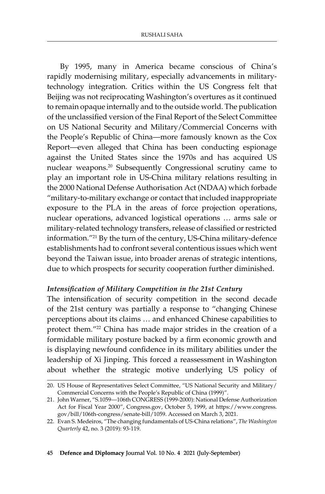By 1995, many in America became conscious of China's rapidly modernising military, especially advancements in militarytechnology integration. Critics within the US Congress felt that Beijing was not reciprocating Washington's overtures as it continued to remain opaque internally and to the outside world. The publication of the unclassified version of the Final Report of the Select Committee on US National Security and Military/Commercial Concerns with the People's Republic of China—more famously known as the Cox Report—even alleged that China has been conducting espionage against the United States since the 1970s and has acquired US nuclear weapons.20 Subsequently Congressional scrutiny came to play an important role in US-China military relations resulting in the 2000 National Defense Authorisation Act (NDAA) which forbade "military-to-military exchange or contact that included inappropriate exposure to the PLA in the areas of force projection operations, nuclear operations, advanced logistical operations … arms sale or military-related technology transfers, release of classified or restricted information."21 By the turn of the century, US-China military-defence establishments had to confront several contentious issues which went beyond the Taiwan issue, into broader arenas of strategic intentions, due to which prospects for security cooperation further diminished.

### *Intensification of Military Competition in the 21st Century*

The intensification of security competition in the second decade of the 21st century was partially a response to "changing Chinese perceptions about its claims … and enhanced Chinese capabilities to protect them."22 China has made major strides in the creation of a formidable military posture backed by a firm economic growth and is displaying newfound confidence in its military abilities under the leadership of Xi Jinping. This forced a reassessment in Washington about whether the strategic motive underlying US policy of

<sup>20.</sup> US House of Representatives Select Committee, "US National Security and Military/ Commercial Concerns with the People's Republic of China (1999)".

<sup>21.</sup> John Warner, "S.1059—106th CONGRESS (1999-2000): National Defense Authorization Act for Fiscal Year 2000", Congress.gov, October 5, 1999, at https://www.congress. gov/bill/106th-congress/senate-bill/1059. Accessed on March 3, 2021.

<sup>22.</sup> Evan S. Medeiros, "The changing fundamentals of US-China relations", *The Washington Quarterly* 42, no. 3 (2019): 93-119.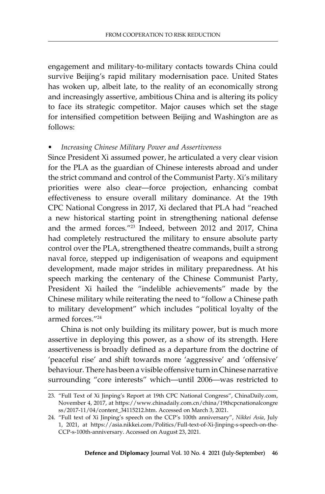engagement and military-to-military contacts towards China could survive Beijing's rapid military modernisation pace. United States has woken up, albeit late, to the reality of an economically strong and increasingly assertive, ambitious China and is altering its policy to face its strategic competitor. Major causes which set the stage for intensified competition between Beijing and Washington are as follows:

### *• Increasing Chinese Military Power and Assertiveness*

Since President Xi assumed power, he articulated a very clear vision for the PLA as the guardian of Chinese interests abroad and under the strict command and control of the Communist Party. Xi's military priorities were also clear—force projection, enhancing combat effectiveness to ensure overall military dominance. At the 19th CPC National Congress in 2017, Xi declared that PLA had "reached a new historical starting point in strengthening national defense and the armed forces."23 Indeed, between 2012 and 2017, China had completely restructured the military to ensure absolute party control over the PLA, strengthened theatre commands, built a strong naval force, stepped up indigenisation of weapons and equipment development, made major strides in military preparedness. At his speech marking the centenary of the Chinese Communist Party, President Xi hailed the "indelible achievements" made by the Chinese military while reiterating the need to "follow a Chinese path to military development" which includes "political loyalty of the armed forces."24

China is not only building its military power, but is much more assertive in deploying this power, as a show of its strength. Here assertiveness is broadly defined as a departure from the doctrine of 'peaceful rise' and shift towards more 'aggressive' and 'offensive' behaviour. There has been a visible offensive turn in Chinese narrative surrounding "core interests" which—until 2006—was restricted to

<sup>23.</sup> "Full Text of Xi Jinping's Report at 19th CPC National Congress", ChinaDaily.com, November 4, 2017, at https://www.chinadaily.com.cn/china/19thcpcnationalcongre ss/2017-11/04/content\_34115212.htm. Accessed on March 3, 2021.

<sup>24.</sup> "Full text of Xi Jinping's speech on the CCP's 100th anniversary", *Nikkei Asia*, July 1, 2021, at https://asia.nikkei.com/Politics/Full-text-of-Xi-Jinping-s-speech-on-the-CCP-s-100th-anniversary. Accessed on August 23, 2021.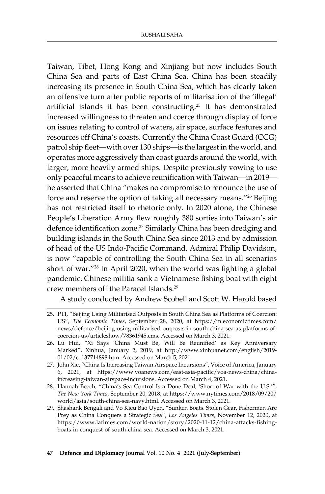Taiwan, Tibet, Hong Kong and Xinjiang but now includes South China Sea and parts of East China Sea. China has been steadily increasing its presence in South China Sea, which has clearly taken an offensive turn after public reports of militarisation of the 'illegal' artificial islands it has been constructing.<sup>25</sup> It has demonstrated increased willingness to threaten and coerce through display of force on issues relating to control of waters, air space, surface features and resources off China's coasts. Currently the China Coast Guard (CCG) patrol ship fleet—with over 130 ships—is the largest in the world, and operates more aggressively than coast guards around the world, with larger, more heavily armed ships. Despite previously vowing to use only peaceful means to achieve reunification with Taiwan—in 2019 he asserted that China "makes no compromise to renounce the use of force and reserve the option of taking all necessary means."26 Beijing has not restricted itself to rhetoric only. In 2020 alone, the Chinese People's Liberation Army flew roughly 380 sorties into Taiwan's air defence identification zone.<sup>27</sup> Similarly China has been dredging and building islands in the South China Sea since 2013 and by admission of head of the US Indo-Pacific Command, Admiral Philip Davidson, is now "capable of controlling the South China Sea in all scenarios short of war."28 In April 2020, when the world was fighting a global pandemic, Chinese militia sank a Vietnamese fishing boat with eight crew members off the Paracel Islands.29

A study conducted by Andrew Scobell and Scott W. Harold based

<sup>25.</sup> PTI, "Beijing Using Militarised Outposts in South China Sea as Platforms of Coercion: US", *The Economic Times*, September 28, 2020, at https://m.economictimes.com/ news/defence/beijing-using-militarised-outposts-in-south-china-sea-as-platforms-ofcoercion-us/articleshow/78361945.cms. Accessed on March 3, 2021.

<sup>26.</sup> Lu Hui, "Xi Says 'China Must Be, Will Be Reunified' as Key Anniversary Marked", Xinhua, January 2, 2019, at http://www.xinhuanet.com/english/2019- 01/02/c\_137714898.htm. Accessed on March 5, 2021.

<sup>27.</sup> John Xie, "China Is Increasing Taiwan Airspace Incursions", Voice of America, January 6, 2021, at https://www.voanews.com/east-asia-pacific/voa-news-china/chinaincreasing-taiwan-airspace-incursions. Accessed on March 4, 2021.

<sup>28.</sup> Hannah Beech, "China's Sea Control Is a Done Deal, 'Short of War with the U.S.'", *The New York Times*, September 20, 2018, at https://www.nytimes.com/2018/09/20/ world/asia/south-china-sea-navy.html. Accessed on March 3, 2021.

<sup>29.</sup> Shashank Bengali and Vo Kieu Bao Uyen, "Sunken Boats. Stolen Gear. Fishermen Are Prey as China Conquers a Strategic Sea", *Los Angeles Times*, November 12, 2020, at https://www.latimes.com/world-nation/story/2020-11-12/china-attacks-fishingboats-in-conquest-of-south-china-sea. Accessed on March 3, 2021.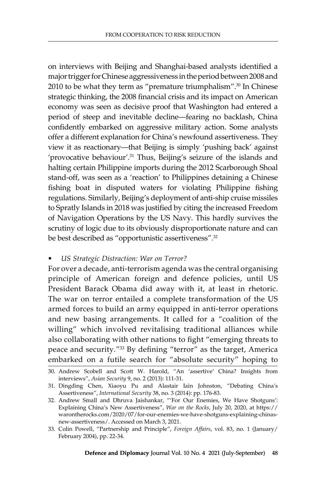on interviews with Beijing and Shanghai-based analysts identified a major trigger for Chinese aggressiveness in the period between 2008 and 2010 to be what they term as "premature triumphalism".<sup>30</sup> In Chinese strategic thinking, the 2008 financial crisis and its impact on American economy was seen as decisive proof that Washington had entered a period of steep and inevitable decline—fearing no backlash, China confidently embarked on aggressive military action. Some analysts offer a different explanation for China's newfound assertiveness. They view it as reactionary—that Beijing is simply 'pushing back' against 'provocative behaviour'.<sup>31</sup> Thus, Beijing's seizure of the islands and halting certain Philippine imports during the 2012 Scarborough Shoal stand-off, was seen as a 'reaction' to Philippines detaining a Chinese fishing boat in disputed waters for violating Philippine fishing regulations. Similarly, Beijing's deployment of anti-ship cruise missiles to Spratly Islands in 2018 was justified by citing the increased Freedom of Navigation Operations by the US Navy. This hardly survives the scrutiny of logic due to its obviously disproportionate nature and can be best described as "opportunistic assertiveness".<sup>32</sup>

#### *• US Strategic Distraction: War on Terror?*

For over a decade, anti-terrorism agenda was the central organising principle of American foreign and defence policies, until US President Barack Obama did away with it, at least in rhetoric. The war on terror entailed a complete transformation of the US armed forces to build an army equipped in anti-terror operations and new basing arrangements. It called for a "coalition of the willing" which involved revitalising traditional alliances while also collaborating with other nations to fight "emerging threats to peace and security."33 By defining "terror" as the target, America embarked on a futile search for "absolute security" hoping to

<sup>30.</sup> Andrew Scobell and Scott W. Harold, "An 'assertive' China? Insights from interviews", *Asian Security* 9, no. 2 (2013): 111-31.

<sup>31.</sup> Dingding Chen, Xiaoyu Pu and Alastair Iain Johnston, "Debating China's Assertiveness", *International Security* 38, no. 3 (2014): pp. 176-83.

<sup>32.</sup> Andrew Small and Dhruva Jaishankar, "'For Our Enemies, We Have Shotguns': Explaining China's New Assertiveness", *War on the Rocks*, July 20, 2020, at https:// warontherocks.com/2020/07/for-our-enemies-we-have-shotguns-explaining-chinasnew-assertiveness/. Accessed on March 3, 2021.

<sup>33.</sup> Colin Powell, "Partnership and Principle", *Foreign Affairs*, vol. 83, no. 1 (January/ February 2004), pp. 22-34.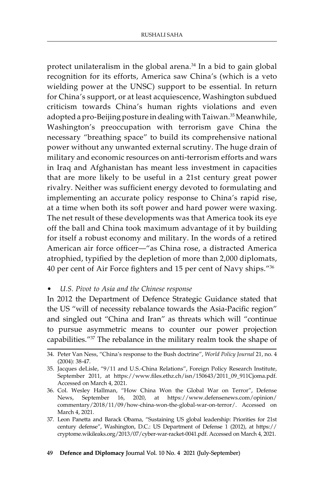protect unilateralism in the global arena.<sup>34</sup> In a bid to gain global recognition for its efforts, America saw China's (which is a veto wielding power at the UNSC) support to be essential. In return for China's support, or at least acquiescence, Washington subdued criticism towards China's human rights violations and even adopted a pro-Beijing posture in dealing with Taiwan.<sup>35</sup> Meanwhile, Washington's preoccupation with terrorism gave China the necessary "breathing space" to build its comprehensive national power without any unwanted external scrutiny. The huge drain of military and economic resources on anti-terrorism efforts and wars in Iraq and Afghanistan has meant less investment in capacities that are more likely to be useful in a 21st century great power rivalry. Neither was sufficient energy devoted to formulating and implementing an accurate policy response to China's rapid rise, at a time when both its soft power and hard power were waxing. The net result of these developments was that America took its eye off the ball and China took maximum advantage of it by building for itself a robust economy and military. In the words of a retired American air force officer—"as China rose, a distracted America atrophied, typified by the depletion of more than 2,000 diplomats, 40 per cent of Air Force fighters and 15 per cent of Navy ships."<sup>36</sup>

*• U.S. Pivot to Asia and the Chinese response*

In 2012 the Department of Defence Strategic Guidance stated that the US "will of necessity rebalance towards the Asia-Pacific region" and singled out "China and Iran" as threats which will "continue to pursue asymmetric means to counter our power projection capabilities."37 The rebalance in the military realm took the shape of

<sup>34.</sup> Peter Van Ness, "China's response to the Bush doctrine", *World Policy Journal* 21, no. 4 (2004): 38-47.

<sup>35.</sup> Jacques deLisle, "9/11 and U.S.-China Relations", Foreign Policy Research Institute, September 2011, at https://www.files.ethz.ch/isn/150643/2011\_09\_911Cjoma.pdf. Accessed on March 4, 2021.

<sup>36.</sup> Col. Wesley Hallman, "How China Won the Global War on Terror", Defense News, September 16, 2020, at https://www.defensenews.com/opinion/ commentary/2018/11/09/how-china-won-the-global-war-on-terror/. Accessed on March 4, 2021.

<sup>37.</sup> Leon Panetta and Barack Obama, "Sustaining US global leadership: Priorities for 21st century defense", Washington, D.C.: US Department of Defense 1 (2012), at https:// cryptome.wikileaks.org/2013/07/cyber-war-racket-0041.pdf. Accessed on March 4, 2021.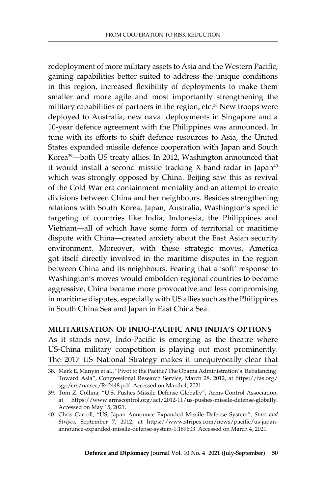redeployment of more military assets to Asia and the Western Pacific, gaining capabilities better suited to address the unique conditions in this region, increased flexibility of deployments to make them smaller and more agile and most importantly strengthening the military capabilities of partners in the region, etc.<sup>38</sup> New troops were deployed to Australia, new naval deployments in Singapore and a 10-year defence agreement with the Philippines was announced. In tune with its efforts to shift defence resources to Asia, the United States expanded missile defence cooperation with Japan and South Korea39—both US treaty allies. In 2012, Washington announced that it would install a second missile tracking  $X$ -band-radar in Japan<sup>40</sup> which was strongly opposed by China. Beijing saw this as revival of the Cold War era containment mentality and an attempt to create divisions between China and her neighbours. Besides strengthening relations with South Korea, Japan, Australia, Washington's specific targeting of countries like India, Indonesia, the Philippines and Vietnam—all of which have some form of territorial or maritime dispute with China—created anxiety about the East Asian security environment. Moreover, with these strategic moves, America got itself directly involved in the maritime disputes in the region between China and its neighbours. Fearing that a 'soft' response to Washington's moves would embolden regional countries to become aggressive, China became more provocative and less compromising in maritime disputes, especially with US allies such as the Philippines in South China Sea and Japan in East China Sea.

#### **Militarisation of Indo-Pacific and India's Options**

As it stands now, Indo-Pacific is emerging as the theatre where US-China military competition is playing out most prominently. The 2017 US National Strategy makes it unequivocally clear that

<sup>38.</sup> Mark E. Manyin et al., "Pivot to the Pacific? The Obama Administration's 'Rebalancing' Toward Asia", Congressional Research Service, March 28, 2012, at https://fas.org/ sgp/crs/natsec/R42448.pdf. Accessed on March 4, 2021.

<sup>39.</sup> Tom Z. Collina, "U.S. Pushes Missile Defense Globally", Arms Control Association, at https://www.armscontrol.org/act/2012-11/us-pushes-missile-defense-globally. Accessed on May 15, 2021.

<sup>40.</sup> Chris Carroll, "US, Japan Announce Expanded Missile Defense System", *Stars and Stripes*, September 7, 2012, at https://www.stripes.com/news/pacific/us-japanannounce-expanded-missile-defense-system-1.189603. Accessed on March 4, 2021.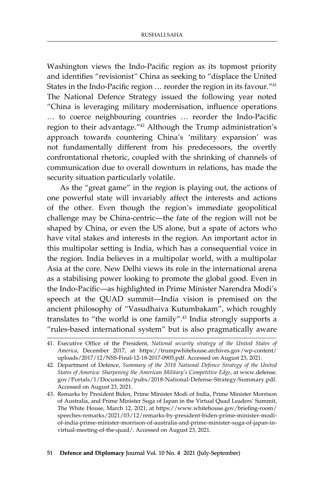Washington views the Indo-Pacific region as its topmost priority and identifies "revisionist" China as seeking to "displace the United States in the Indo-Pacific region … reorder the region in its favour."<sup>41</sup> The National Defence Strategy issued the following year noted "China is leveraging military modernisation, influence operations … to coerce neighbouring countries … reorder the Indo-Pacific region to their advantage."42 Although the Trump administration's approach towards countering China's 'military expansion' was not fundamentally different from his predecessors, the overtly confrontational rhetoric, coupled with the shrinking of channels of communication due to overall downturn in relations, has made the security situation particularly volatile.

As the "great game" in the region is playing out, the actions of one powerful state will invariably affect the interests and actions of the other. Even though the region's immediate geopolitical challenge may be China-centric—the fate of the region will not be shaped by China, or even the US alone, but a spate of actors who have vital stakes and interests in the region. An important actor in this multipolar setting is India, which has a consequential voice in the region. India believes in a multipolar world, with a multipolar Asia at the core. New Delhi views its role in the international arena as a stabilising power looking to promote the global good. Even in the Indo-Pacific—as highlighted in Prime Minister Narendra Modi's speech at the QUAD summit—India vision is premised on the ancient philosophy of "Vasudhaiva Kutumbakam", which roughly translates to "the world is one family".43 India strongly supports a "rules-based international system" but is also pragmatically aware

#### 51 **Defence and Diplomacy** Journal Vol. 10 No. 4 2021 (July-September)

<sup>41.</sup> Executive Office of the President, *National security strategy of the United States of America*, December 2017, at https://trumpwhitehouse.archives.gov/wp-content/ uploads/2017/12/NSS-Final-12-18-2017-0905.pdf. Accessed on August 23, 2021.

<sup>42.</sup> Department of Defence, *Summary of the 2018 National Defence Strategy of the United States of America: Sharpening the American Military's Competitive Edge*, at www.defense. gov/Portals/1/Documents/pubs/2018-National-Defense-Strategy-Summary.pdf. Accessed on August 23, 2021.

<sup>43.</sup> Remarks by President Biden, Prime Minister Modi of India, Prime Minister Morrison of Australia, and Prime Minister Suga of Japan in the Virtual Quad Leaders' Summit, The White House, March 12, 2021, at https://www.whitehouse.gov/briefing-room/ speeches-remarks/2021/03/12/remarks-by-president-biden-prime-minister-modiof-india-prime-minister-morrison-of-australia-and-prime-minister-suga-of-japan-invirtual-meeting-of-the-quad/. Accessed on August 23, 2021.